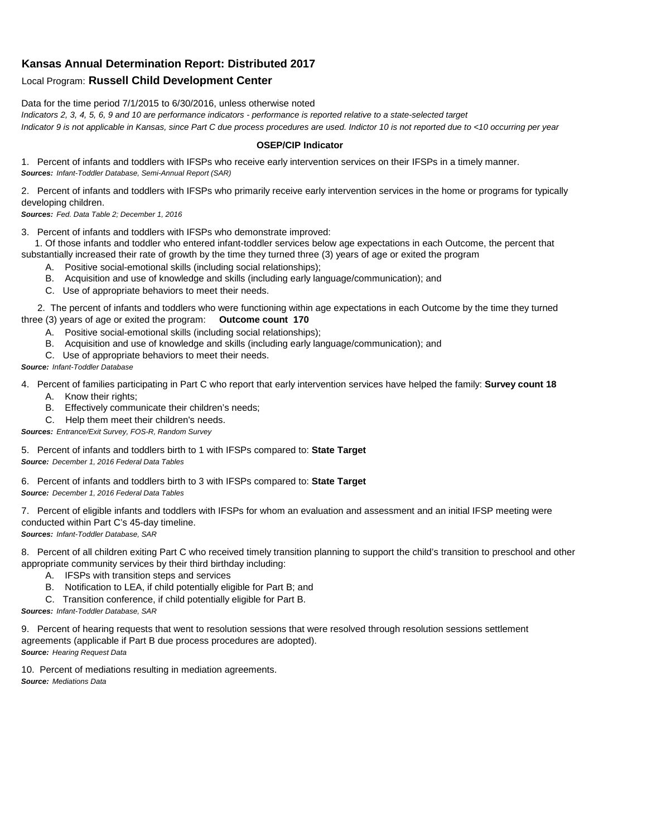## **Kansas Annual Determination Report: Distributed 2017**

## Local Program: **Russell Child Development Center**

Data for the time period 7/1/2015 to 6/30/2016, unless otherwise noted

*Indicators 2, 3, 4, 5, 6, 9 and 10 are performance indicators - performance is reported relative to a state-selected target Indicator 9 is not applicable in Kansas, since Part C due process procedures are used. Indictor 10 is not reported due to <10 occurring per year*

## **OSEP/CIP Indicator**

1. Percent of infants and toddlers with IFSPs who receive early intervention services on their IFSPs in a timely manner. *Sources: Infant-Toddler Database, Semi-Annual Report (SAR)* 

2. Percent of infants and toddlers with IFSPs who primarily receive early intervention services in the home or programs for typically developing children.

*Sources: Fed. Data Table 2; December 1, 2016*

3. Percent of infants and toddlers with IFSPs who demonstrate improved:

 1. Of those infants and toddler who entered infant-toddler services below age expectations in each Outcome, the percent that substantially increased their rate of growth by the time they turned three (3) years of age or exited the program

- A. Positive social-emotional skills (including social relationships);
- B. Acquisition and use of knowledge and skills (including early language/communication); and
- C. Use of appropriate behaviors to meet their needs.

 2. The percent of infants and toddlers who were functioning within age expectations in each Outcome by the time they turned three (3) years of age or exited the program: **Outcome count 170**

- A. Positive social-emotional skills (including social relationships);
- B. Acquisition and use of knowledge and skills (including early language/communication); and
- C. Use of appropriate behaviors to meet their needs.

## *Source: Infant-Toddler Database*

4. Percent of families participating in Part C who report that early intervention services have helped the family: **Survey count 18**

- A. Know their rights;
- B. Effectively communicate their children's needs;
- C. Help them meet their children's needs.
- *Sources: Entrance/Exit Survey, FOS-R, Random Survey*

5. Percent of infants and toddlers birth to 1 with IFSPs compared to: **State Target** *Source: December 1, 2016 Federal Data Tables*

6. Percent of infants and toddlers birth to 3 with IFSPs compared to: **State Target** *Source: December 1, 2016 Federal Data Tables*

7. Percent of eligible infants and toddlers with IFSPs for whom an evaluation and assessment and an initial IFSP meeting were conducted within Part C's 45-day timeline.

*Sources: Infant-Toddler Database, SAR*

8. Percent of all children exiting Part C who received timely transition planning to support the child's transition to preschool and other appropriate community services by their third birthday including:

- A. IFSPs with transition steps and services
- B. Notification to LEA, if child potentially eligible for Part B; and
- C. Transition conference, if child potentially eligible for Part B.

*Sources: Infant-Toddler Database, SAR*

9. Percent of hearing requests that went to resolution sessions that were resolved through resolution sessions settlement agreements (applicable if Part B due process procedures are adopted). *Source: Hearing Request Data*

10. Percent of mediations resulting in mediation agreements. *Source: Mediations Data*